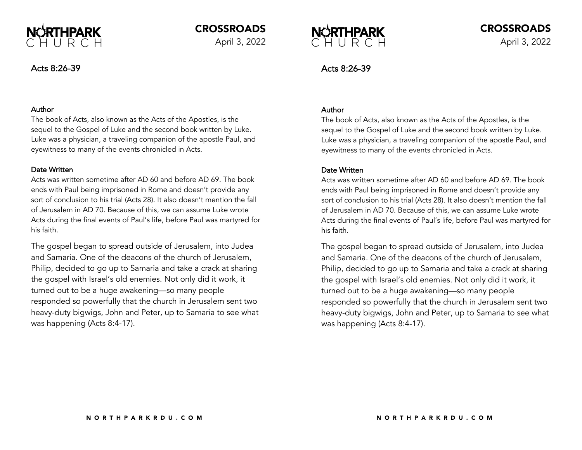

CROSSROADS

April 3, 2022

# Acts 8:26-39

## Author

The book of Acts, also known as the Acts of the Apostles, is the sequel to the Gospel of Luke and the second book written by Luke. Luke was a physician, a traveling companion of the apostle Paul, and eyewitness to many of the events chronicled in Acts.

## Date Written

Acts was written sometime after AD 60 and before AD 69. The book ends with Paul being imprisoned in Rome and doesn't provide any sort of conclusion to his trial (Acts 28). It also doesn't mention the fall of Jerusalem in AD 70. Because of this, we can assume Luke wrote Acts during the final events of Paul's life, before Paul was martyred for his faith.

The gospel began to spread outside of Jerusalem, into Judea and Samaria. One of the deacons of the church of Jerusalem, Philip, decided to go up to Samaria and take a crack at sharing the gospel with Israel's old enemies. Not only did it work, it turned out to be a huge awakening—so many people responded so powerfully that the church in Jerusalem sent two heavy-duty bigwigs, John and Peter, up to Samaria to see what was happening (Acts 8:4-17).



# Acts 8:26-39

## Author

The book of Acts, also known as the Acts of the Apostles, is the sequel to the Gospel of Luke and the second book written by Luke. Luke was a physician, a traveling companion of the apostle Paul, and eyewitness to many of the events chronicled in Acts.

## Date Written

Acts was written sometime after AD 60 and before AD 69. The book ends with Paul being imprisoned in Rome and doesn't provide any sort of conclusion to his trial (Acts 28). It also doesn't mention the fall of Jerusalem in AD 70. Because of this, we can assume Luke wrote Acts during the final events of Paul's life, before Paul was martyred for his faith.

The gospel began to spread outside of Jerusalem, into Judea and Samaria. One of the deacons of the church of Jerusalem, Philip, decided to go up to Samaria and take a crack at sharing the gospel with Israel's old enemies. Not only did it work, it turned out to be a huge awakening—so many people responded so powerfully that the church in Jerusalem sent two heavy-duty bigwigs, John and Peter, up to Samaria to see what was happening (Acts 8:4-17).